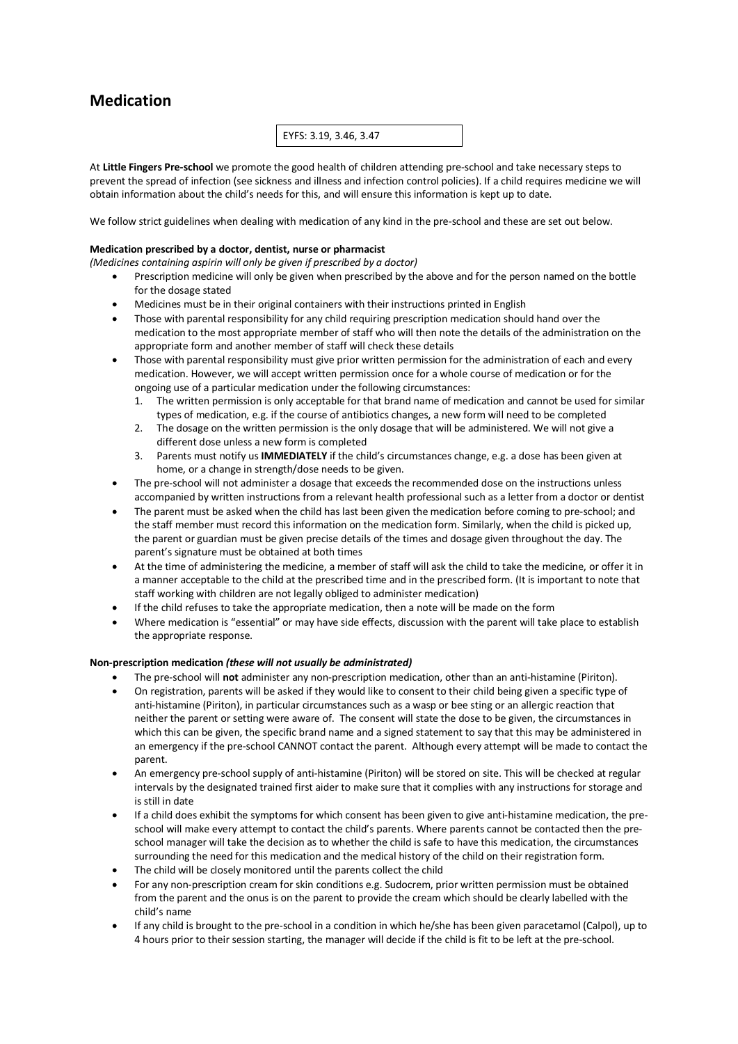# **Medication**

EYFS: 3.19, 3.46, 3.47

At **Little Fingers Pre-school** we promote the good health of children attending pre-school and take necessary steps to prevent the spread of infection (see sickness and illness and infection control policies). If a child requires medicine we will obtain information about the child's needs for this, and will ensure this information is kept up to date.

We follow strict guidelines when dealing with medication of any kind in the pre-school and these are set out below.

## **Medication prescribed by a doctor, dentist, nurse or pharmacist**

*(Medicines containing aspirin will only be given if prescribed by a doctor)*

- Prescription medicine will only be given when prescribed by the above and for the person named on the bottle for the dosage stated
- Medicines must be in their original containers with their instructions printed in English
- Those with parental responsibility for any child requiring prescription medication should hand over the medication to the most appropriate member of staff who will then note the details of the administration on the appropriate form and another member of staff will check these details
- Those with parental responsibility must give prior written permission for the administration of each and every medication. However, we will accept written permission once for a whole course of medication or for the ongoing use of a particular medication under the following circumstances:
	- 1. The written permission is only acceptable for that brand name of medication and cannot be used for similar types of medication, e.g. if the course of antibiotics changes, a new form will need to be completed
	- 2. The dosage on the written permission is the only dosage that will be administered. We will not give a different dose unless a new form is completed
	- 3. Parents must notify us **IMMEDIATELY** if the child's circumstances change, e.g. a dose has been given at home, or a change in strength/dose needs to be given.
- The pre-school will not administer a dosage that exceeds the recommended dose on the instructions unless accompanied by written instructions from a relevant health professional such as a letter from a doctor or dentist
- The parent must be asked when the child has last been given the medication before coming to pre-school; and the staff member must record this information on the medication form. Similarly, when the child is picked up, the parent or guardian must be given precise details of the times and dosage given throughout the day. The parent's signature must be obtained at both times
- At the time of administering the medicine, a member of staff will ask the child to take the medicine, or offer it in a manner acceptable to the child at the prescribed time and in the prescribed form. (It is important to note that staff working with children are not legally obliged to administer medication)
- If the child refuses to take the appropriate medication, then a note will be made on the form
- Where medication is "essential" or may have side effects, discussion with the parent will take place to establish the appropriate response.

### **Non-prescription medication** *(these will not usually be administrated)*

- The pre-school will **not** administer any non-prescription medication, other than an anti-histamine (Piriton).
- On registration, parents will be asked if they would like to consent to their child being given a specific type of anti-histamine (Piriton), in particular circumstances such as a wasp or bee sting or an allergic reaction that neither the parent or setting were aware of. The consent will state the dose to be given, the circumstances in which this can be given, the specific brand name and a signed statement to say that this may be administered in an emergency if the pre-school CANNOT contact the parent. Although every attempt will be made to contact the parent.
- An emergency pre-school supply of anti-histamine (Piriton) will be stored on site. This will be checked at regular intervals by the designated trained first aider to make sure that it complies with any instructions for storage and is still in date
- If a child does exhibit the symptoms for which consent has been given to give anti-histamine medication, the preschool will make every attempt to contact the child's parents. Where parents cannot be contacted then the preschool manager will take the decision as to whether the child is safe to have this medication, the circumstances surrounding the need for this medication and the medical history of the child on their registration form.
- The child will be closely monitored until the parents collect the child
- For any non-prescription cream for skin conditions e.g. Sudocrem, prior written permission must be obtained from the parent and the onus is on the parent to provide the cream which should be clearly labelled with the child's name
- If any child is brought to the pre-school in a condition in which he/she has been given paracetamol (Calpol), up to 4 hours prior to their session starting, the manager will decide if the child is fit to be left at the pre-school.